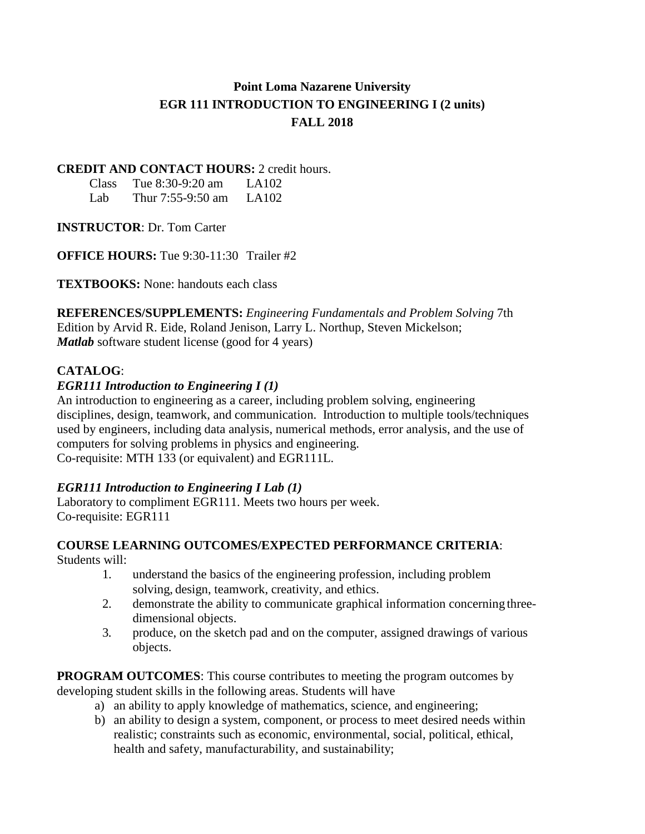# **Point Loma Nazarene University EGR 111 INTRODUCTION TO ENGINEERING I (2 units) FALL 2018**

## **CREDIT AND CONTACT HOURS:** 2 credit hours.

| Class | Tue $8:30-9:20$ am | LA102 |
|-------|--------------------|-------|
| Lab   | Thur 7:55-9:50 am  | LA102 |

**INSTRUCTOR**: Dr. Tom Carter

**OFFICE HOURS:** Tue 9:30-11:30 Trailer #2

**TEXTBOOKS:** None: handouts each class

**REFERENCES/SUPPLEMENTS:** *Engineering Fundamentals and Problem Solving* 7th Edition by Arvid R. Eide, Roland Jenison, Larry L. Northup, Steven Mickelson; *Matlab* software student license (good for 4 years)

# **CATALOG**:

# *EGR111 Introduction to Engineering I (1)*

An introduction to engineering as a career, including problem solving, engineering disciplines, design, teamwork, and communication. Introduction to multiple tools/techniques used by engineers, including data analysis, numerical methods, error analysis, and the use of computers for solving problems in physics and engineering. Co-requisite: MTH 133 (or equivalent) and EGR111L.

# *EGR111 Introduction to Engineering I Lab (1)*

Laboratory to compliment EGR111. Meets two hours per week. Co-requisite: EGR111

# **COURSE LEARNING OUTCOMES/EXPECTED PERFORMANCE CRITERIA**:

Students will:

- 1. understand the basics of the engineering profession, including problem solving, design, teamwork, creativity, and ethics.
- 2. demonstrate the ability to communicate graphical information concerning threedimensional objects.
- 3. produce, on the sketch pad and on the computer, assigned drawings of various objects.

**PROGRAM OUTCOMES**: This course contributes to meeting the program outcomes by developing student skills in the following areas. Students will have

- a) an ability to apply knowledge of mathematics, science, and engineering;
- b) an ability to design a system, component, or process to meet desired needs within realistic; constraints such as economic, environmental, social, political, ethical, health and safety, manufacturability, and sustainability;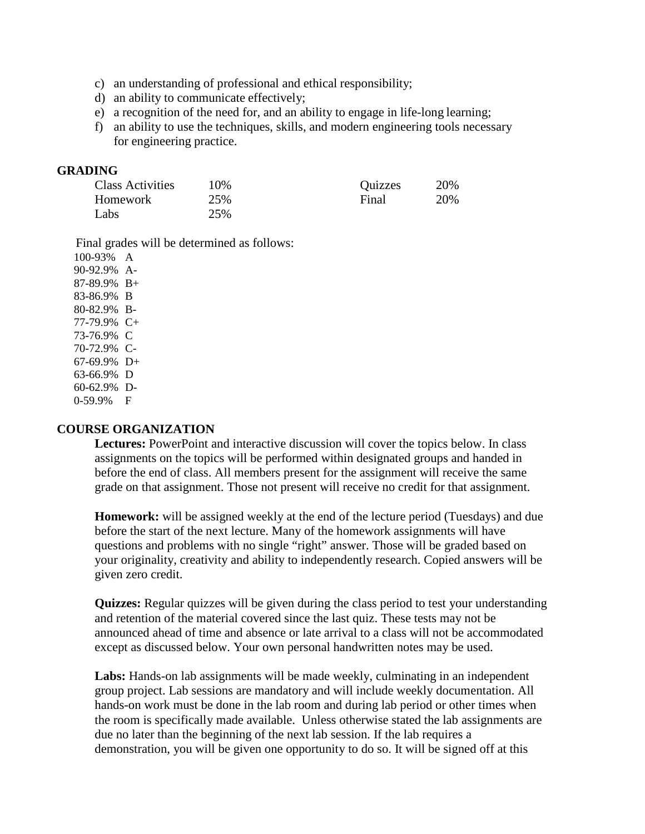- c) an understanding of professional and ethical responsibility;
- d) an ability to communicate effectively;
- e) a recognition of the need for, and an ability to engage in life-long learning;
- f) an ability to use the techniques, skills, and modern engineering tools necessary for engineering practice.

#### **GRADING**

| <b>Class Activities</b> | 10% | Quizzes | 20% |
|-------------------------|-----|---------|-----|
| Homework                | 25% | Final   | 20% |
| Labs                    | 25% |         |     |

Final grades will be determined as follows:

100-93% A 90-92.9% A-87-89.9% B+ 83-86.9% B 80-82.9% B-77-79.9% C+ 73-76.9% C 70-72.9% C-67-69.9% D+ 63-66.9% D 60-62.9% D-0-59.9% F

#### **COURSE ORGANIZATION**

**Lectures:** PowerPoint and interactive discussion will cover the topics below. In class assignments on the topics will be performed within designated groups and handed in before the end of class. All members present for the assignment will receive the same grade on that assignment. Those not present will receive no credit for that assignment.

**Homework:** will be assigned weekly at the end of the lecture period (Tuesdays) and due before the start of the next lecture. Many of the homework assignments will have questions and problems with no single "right" answer. Those will be graded based on your originality, creativity and ability to independently research. Copied answers will be given zero credit.

**Quizzes:** Regular quizzes will be given during the class period to test your understanding and retention of the material covered since the last quiz. These tests may not be announced ahead of time and absence or late arrival to a class will not be accommodated except as discussed below. Your own personal handwritten notes may be used.

**Labs:** Hands-on lab assignments will be made weekly, culminating in an independent group project. Lab sessions are mandatory and will include weekly documentation. All hands-on work must be done in the lab room and during lab period or other times when the room is specifically made available. Unless otherwise stated the lab assignments are due no later than the beginning of the next lab session. If the lab requires a demonstration, you will be given one opportunity to do so. It will be signed off at this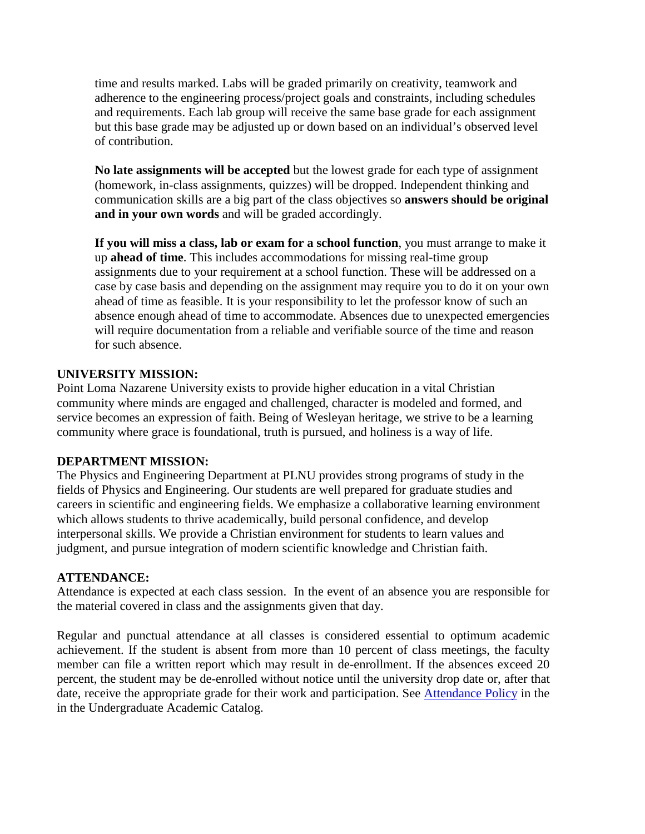time and results marked. Labs will be graded primarily on creativity, teamwork and adherence to the engineering process/project goals and constraints, including schedules and requirements. Each lab group will receive the same base grade for each assignment but this base grade may be adjusted up or down based on an individual's observed level of contribution.

**No late assignments will be accepted** but the lowest grade for each type of assignment (homework, in-class assignments, quizzes) will be dropped. Independent thinking and communication skills are a big part of the class objectives so **answers should be original and in your own words** and will be graded accordingly.

**If you will miss a class, lab or exam for a school function**, you must arrange to make it up **ahead of time**. This includes accommodations for missing real-time group assignments due to your requirement at a school function. These will be addressed on a case by case basis and depending on the assignment may require you to do it on your own ahead of time as feasible. It is your responsibility to let the professor know of such an absence enough ahead of time to accommodate. Absences due to unexpected emergencies will require documentation from a reliable and verifiable source of the time and reason for such absence.

### **UNIVERSITY MISSION:**

Point Loma Nazarene University exists to provide higher education in a vital Christian community where minds are engaged and challenged, character is modeled and formed, and service becomes an expression of faith. Being of Wesleyan heritage, we strive to be a learning community where grace is foundational, truth is pursued, and holiness is a way of life.

#### **DEPARTMENT MISSION:**

The Physics and Engineering Department at PLNU provides strong programs of study in the fields of Physics and Engineering. Our students are well prepared for graduate studies and careers in scientific and engineering fields. We emphasize a collaborative learning environment which allows students to thrive academically, build personal confidence, and develop interpersonal skills. We provide a Christian environment for students to learn values and judgment, and pursue integration of modern scientific knowledge and Christian faith.

#### **ATTENDANCE:**

Attendance is expected at each class session. In the event of an absence you are responsible for the material covered in class and the assignments given that day.

Regular and punctual attendance at all classes is considered essential to optimum academic achievement. If the student is absent from more than 10 percent of class meetings, the faculty member can file a written report which may result in de-enrollment. If the absences exceed 20 percent, the student may be de-enrolled without notice until the university drop date or, after that date, receive the appropriate grade for their work and participation. See [Attendance Policy](https://catalog.pointloma.edu/content.php?catoid=28&navoid=1761#Class_Attendance) in the in the Undergraduate Academic Catalog.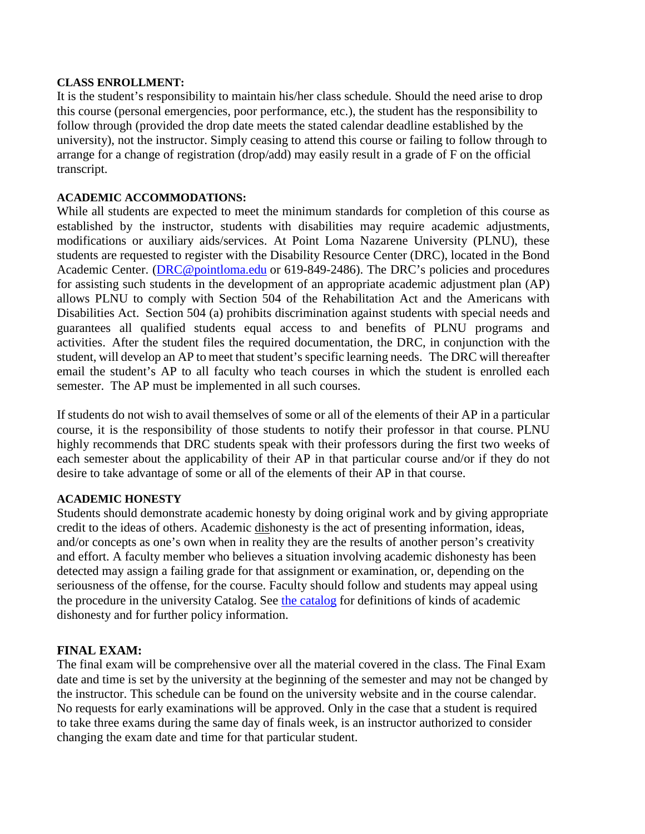#### **CLASS ENROLLMENT:**

It is the student's responsibility to maintain his/her class schedule. Should the need arise to drop this course (personal emergencies, poor performance, etc.), the student has the responsibility to follow through (provided the drop date meets the stated calendar deadline established by the university), not the instructor. Simply ceasing to attend this course or failing to follow through to arrange for a change of registration (drop/add) may easily result in a grade of F on the official transcript.

#### **ACADEMIC ACCOMMODATIONS:**

While all students are expected to meet the minimum standards for completion of this course as established by the instructor, students with disabilities may require academic adjustments, modifications or auxiliary aids/services. At Point Loma Nazarene University (PLNU), these students are requested to register with the Disability Resource Center (DRC), located in the Bond Academic Center. [\(DRC@pointloma.edu](mailto:DRC@pointloma.edu) or 619-849-2486). The DRC's policies and procedures for assisting such students in the development of an appropriate academic adjustment plan (AP) allows PLNU to comply with Section 504 of the Rehabilitation Act and the Americans with Disabilities Act. Section 504 (a) prohibits discrimination against students with special needs and guarantees all qualified students equal access to and benefits of PLNU programs and activities. After the student files the required documentation, the DRC, in conjunction with the student, will develop an AP to meet that student's specific learning needs. The DRC will thereafter email the student's AP to all faculty who teach courses in which the student is enrolled each semester. The AP must be implemented in all such courses.

If students do not wish to avail themselves of some or all of the elements of their AP in a particular course, it is the responsibility of those students to notify their professor in that course. PLNU highly recommends that DRC students speak with their professors during the first two weeks of each semester about the applicability of their AP in that particular course and/or if they do not desire to take advantage of some or all of the elements of their AP in that course.

#### **ACADEMIC HONESTY**

Students should demonstrate academic honesty by doing original work and by giving appropriate credit to the ideas of others. Academic dishonesty is the act of presenting information, ideas, and/or concepts as one's own when in reality they are the results of another person's creativity and effort. A faculty member who believes a situation involving academic dishonesty has been detected may assign a failing grade for that assignment or examination, or, depending on the seriousness of the offense, for the course. Faculty should follow and students may appeal using the procedure in the university Catalog. See [the catalog](https://catalog.pointloma.edu/content.php?catoid=28&navoid=1761#Academic_Honesty) for definitions of kinds of academic dishonesty and for further policy information.

#### **FINAL EXAM:**

The final exam will be comprehensive over all the material covered in the class. The Final Exam date and time is set by the university at the beginning of the semester and may not be changed by the instructor. This schedule can be found on the university website and in the course calendar. No requests for early examinations will be approved. Only in the case that a student is required to take three exams during the same day of finals week, is an instructor authorized to consider changing the exam date and time for that particular student.